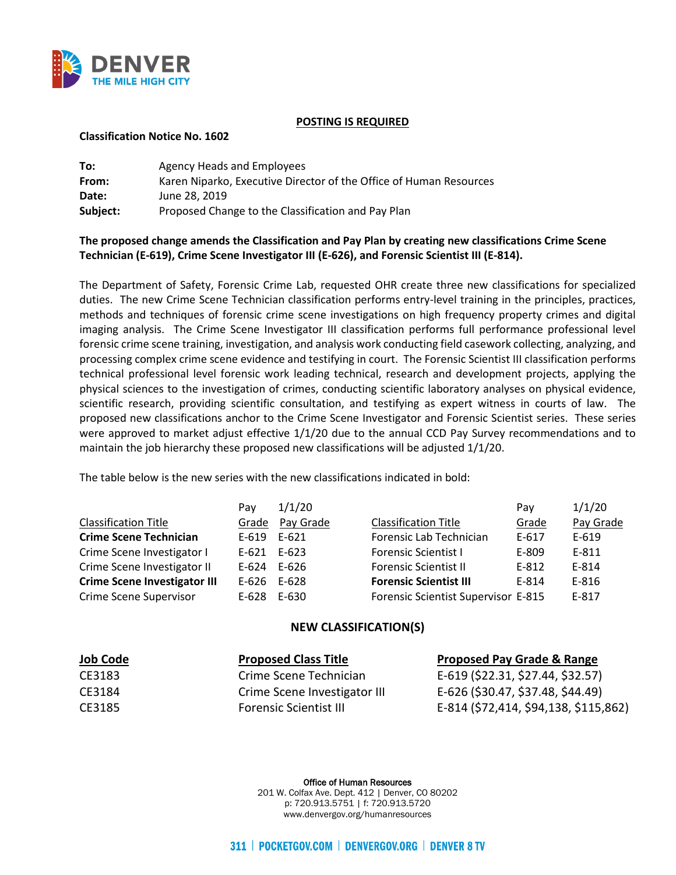

## **POSTING IS REQUIRED**

## **Classification Notice No. 1602**

| To:      | Agency Heads and Employees                                         |
|----------|--------------------------------------------------------------------|
| From:    | Karen Niparko, Executive Director of the Office of Human Resources |
| Date:    | June 28, 2019                                                      |
| Subject: | Proposed Change to the Classification and Pay Plan                 |

## **The proposed change amends the Classification and Pay Plan by creating new classifications Crime Scene Technician (E-619), Crime Scene Investigator III (E-626), and Forensic Scientist III (E-814).**

The Department of Safety, Forensic Crime Lab, requested OHR create three new classifications for specialized duties. The new Crime Scene Technician classification performs entry-level training in the principles, practices, methods and techniques of forensic crime scene investigations on high frequency property crimes and digital imaging analysis. The Crime Scene Investigator III classification performs full performance professional level forensic crime scene training, investigation, and analysis work conducting field casework collecting, analyzing, and processing complex crime scene evidence and testifying in court. The Forensic Scientist III classification performs technical professional level forensic work leading technical, research and development projects, applying the physical sciences to the investigation of crimes, conducting scientific laboratory analyses on physical evidence, scientific research, providing scientific consultation, and testifying as expert witness in courts of law. The proposed new classifications anchor to the Crime Scene Investigator and Forensic Scientist series. These series were approved to market adjust effective 1/1/20 due to the annual CCD Pay Survey recommendations and to maintain the job hierarchy these proposed new classifications will be adjusted 1/1/20.

The table below is the new series with the new classifications indicated in bold:

|                                     | Pav             | 1/1/20    |                                     | Pav       | 1/1/20    |
|-------------------------------------|-----------------|-----------|-------------------------------------|-----------|-----------|
| <b>Classification Title</b>         | Grade           | Pay Grade | <b>Classification Title</b>         | Grade     | Pay Grade |
| <b>Crime Scene Technician</b>       | E-619           | E-621     | Forensic Lab Technician             | $E - 617$ | $E-619$   |
| Crime Scene Investigator I          | $E - 621$       | E-623     | <b>Forensic Scientist I</b>         | E-809     | E-811     |
| Crime Scene Investigator II         | E-624           | E-626     | <b>Forensic Scientist II</b>        | $E-812$   | E-814     |
| <b>Crime Scene Investigator III</b> | $E-626$ $E-628$ |           | <b>Forensic Scientist III</b>       | E-814     | E-816     |
| Crime Scene Supervisor              | E-628 E-630     |           | Forensic Scientist Supervisor E-815 |           | E-817     |

## **NEW CLASSIFICATION(S)**

| <b>Job Code</b> | <b>Proposed Class Title</b>   | <b>Proposed Pay Grade &amp; Range</b> |  |  |
|-----------------|-------------------------------|---------------------------------------|--|--|
| CE3183          | Crime Scene Technician        | E-619 (\$22.31, \$27.44, \$32.57)     |  |  |
| CE3184          | Crime Scene Investigator III  | E-626 (\$30.47, \$37.48, \$44.49)     |  |  |
| CE3185          | <b>Forensic Scientist III</b> | E-814 (\$72,414, \$94,138, \$115,862) |  |  |

Office of Human Resources 201 W. Colfax Ave. Dept. 412 | Denver, CO 80202 p: 720.913.5751 | f: 720.913.5720 www.denvergov.org/humanresources